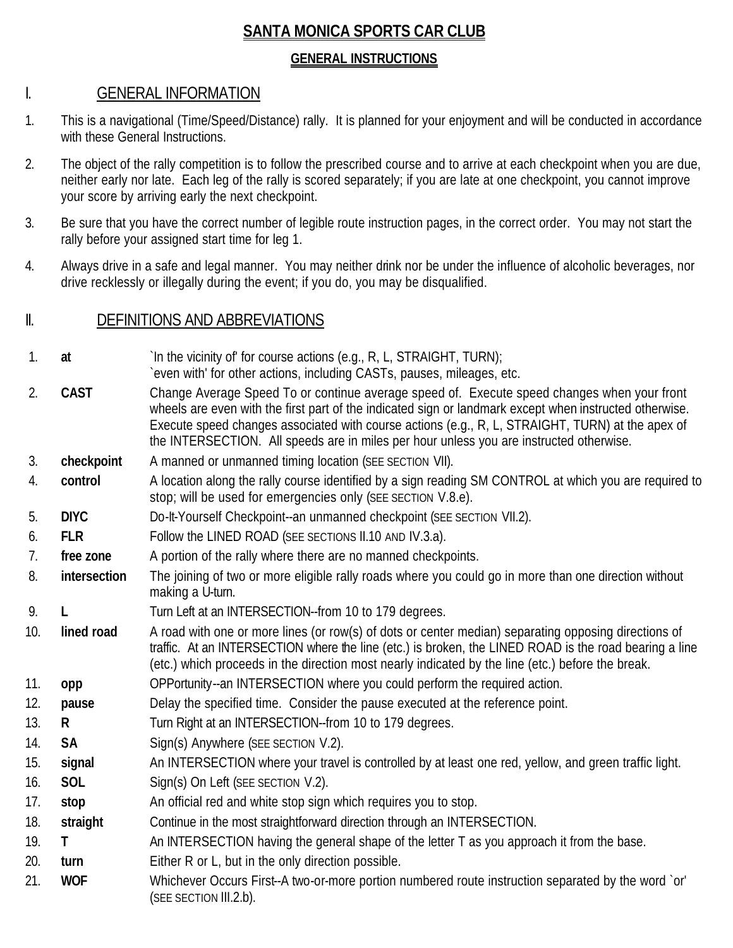# **SANTA MONICA SPORTS CAR CLUB**

#### **GENERAL INSTRUCTIONS**

### I. GENERAL INFORMATION

- 1. This is a navigational (Time/Speed/Distance) rally. It is planned for your enjoyment and will be conducted in accordance with these General Instructions.
- 2. The object of the rally competition is to follow the prescribed course and to arrive at each checkpoint when you are due, neither early nor late. Each leg of the rally is scored separately; if you are late at one checkpoint, you cannot improve your score by arriving early the next checkpoint.
- 3. Be sure that you have the correct number of legible route instruction pages, in the correct order. You may not start the rally before your assigned start time for leg 1.
- 4. Always drive in a safe and legal manner. You may neither drink nor be under the influence of alcoholic beverages, nor drive recklessly or illegally during the event; if you do, you may be disqualified.

### II. DEFINITIONS AND ABBREVIATIONS

- 1. **at** `In the vicinity of for course actions (e.g., R, L, STRAIGHT, TURN); `even with' for other actions, including CASTs, pauses, mileages, etc.
- 2. **CAST** Change Average Speed To or continue average speed of. Execute speed changes when your front wheels are even with the first part of the indicated sign or landmark except when instructed otherwise. Execute speed changes associated with course actions (e.g., R, L, STRAIGHT, TURN) at the apex of the INTERSECTION. All speeds are in miles per hour unless you are instructed otherwise.
- 3. **checkpoint** A manned or unmanned timing location (SEE SECTION VII).
- 4. **control** A location along the rally course identified by a sign reading SM CONTROL at which you are required to stop; will be used for emergencies only (SEE SECTION V.8.e).
- 5. **DIYC** Do-It-Yourself Checkpoint--an unmanned checkpoint (SEE SECTION VII.2).
- 6. **FLR** Follow the LINED ROAD (SEE SECTIONS II.10 AND IV.3.a).
- 7. **free zone** A portion of the rally where there are no manned checkpoints.
- 8. **intersection** The joining of two or more eligible rally roads where you could go in more than one direction without making a U-turn.
- 9. **L** Turn Left at an INTERSECTION--from 10 to 179 degrees.
- 10. **lined road** A road with one or more lines (or row(s) of dots or center median) separating opposing directions of traffic. At an INTERSECTION where the line (etc.) is broken, the LINED ROAD is the road bearing a line (etc.) which proceeds in the direction most nearly indicated by the line (etc.) before the break.
- 11. **opp** OPPortunity--an INTERSECTION where you could perform the required action.
- 12. **pause** Delay the specified time. Consider the pause executed at the reference point.
- 13. **R** Turn Right at an INTERSECTION--from 10 to 179 degrees.
- 14. **SA** Sign(s) Anywhere (SEE SECTION V.2).
- 15. **signal** An INTERSECTION where your travel is controlled by at least one red, yellow, and green traffic light.
- 16. **SOL** Sign(s) On Left (SEE SECTION V.2).
- 17. **stop** An official red and white stop sign which requires you to stop.
- 18. **straight** Continue in the most straightforward direction through an INTERSECTION.
- 19. **T** An INTERSECTION having the general shape of the letter T as you approach it from the base.
- 20. **turn** Either R or L, but in the only direction possible.
- 21. **WOF** Whichever Occurs First--A two-or-more portion numbered route instruction separated by the word `or' (SEE SECTION III.2.b).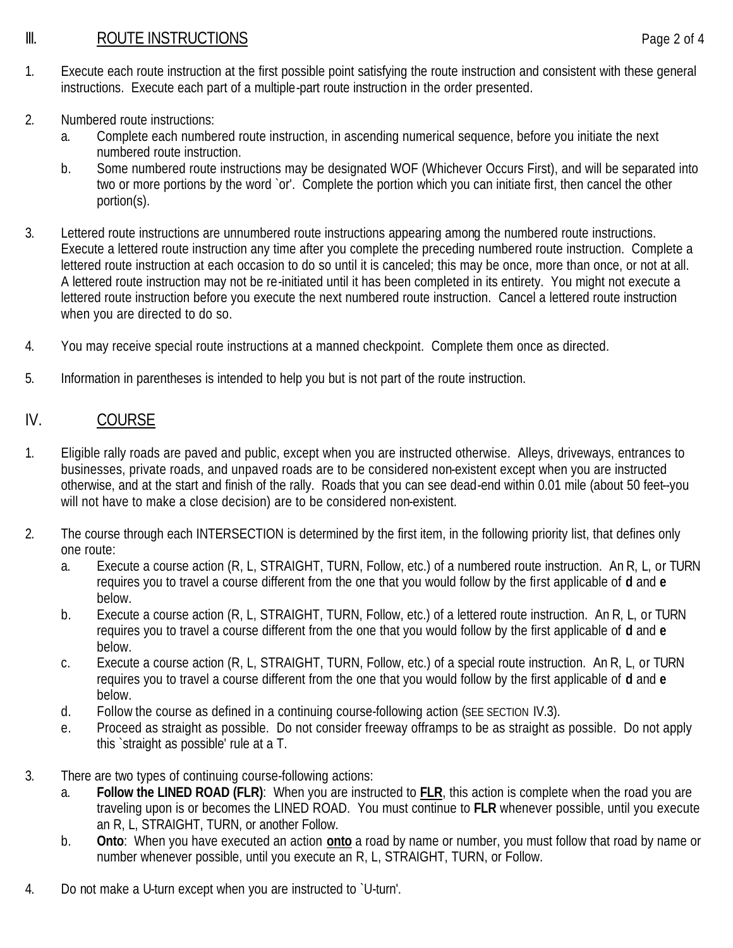# III. ROUTE INSTRUCTIONS **Page 2 of 4**

- 1. Execute each route instruction at the first possible point satisfying the route instruction and consistent with these general instructions. Execute each part of a multiple-part route instruction in the order presented.
- 2. Numbered route instructions:
	- a. Complete each numbered route instruction, in ascending numerical sequence, before you initiate the next numbered route instruction.
	- b. Some numbered route instructions may be designated WOF (Whichever Occurs First), and will be separated into two or more portions by the word `or'. Complete the portion which you can initiate first, then cancel the other portion(s).
- 3. Lettered route instructions are unnumbered route instructions appearing among the numbered route instructions. Execute a lettered route instruction any time after you complete the preceding numbered route instruction. Complete a lettered route instruction at each occasion to do so until it is canceled; this may be once, more than once, or not at all. A lettered route instruction may not be re-initiated until it has been completed in its entirety. You might not execute a lettered route instruction before you execute the next numbered route instruction. Cancel a lettered route instruction when you are directed to do so.
- 4. You may receive special route instructions at a manned checkpoint. Complete them once as directed.
- 5. Information in parentheses is intended to help you but is not part of the route instruction.

# IV. COURSE

- 1. Eligible rally roads are paved and public, except when you are instructed otherwise. Alleys, driveways, entrances to businesses, private roads, and unpaved roads are to be considered non-existent except when you are instructed otherwise, and at the start and finish of the rally. Roads that you can see dead-end within 0.01 mile (about 50 feet--you will not have to make a close decision) are to be considered non-existent.
- 2. The course through each INTERSECTION is determined by the first item, in the following priority list, that defines only one route:
	- a. Execute a course action (R, L, STRAIGHT, TURN, Follow, etc.) of a numbered route instruction. An R, L, or TURN requires you to travel a course different from the one that you would follow by the first applicable of **d** and **e** below.
	- b. Execute a course action (R, L, STRAIGHT, TURN, Follow, etc.) of a lettered route instruction. An R, L, or TURN requires you to travel a course different from the one that you would follow by the first applicable of **d** and **e** below.
	- c. Execute a course action (R, L, STRAIGHT, TURN, Follow, etc.) of a special route instruction. An R, L, or TURN requires you to travel a course different from the one that you would follow by the first applicable of **d** and **e** below.
	- d. Follow the course as defined in a continuing course-following action (SEE SECTION IV.3).
	- e. Proceed as straight as possible. Do not consider freeway offramps to be as straight as possible. Do not apply this `straight as possible' rule at a T.
- 3. There are two types of continuing course-following actions:
	- a. **Follow the LINED ROAD (FLR)**: When you are instructed to **FLR**, this action is complete when the road you are traveling upon is or becomes the LINED ROAD. You must continue to **FLR** whenever possible, until you execute an R, L, STRAIGHT, TURN, or another Follow.
	- b. **Onto**: When you have executed an action **onto** a road by name or number, you must follow that road by name or number whenever possible, until you execute an R, L, STRAIGHT, TURN, or Follow.
- 4. Do not make a U-turn except when you are instructed to `U-turn'.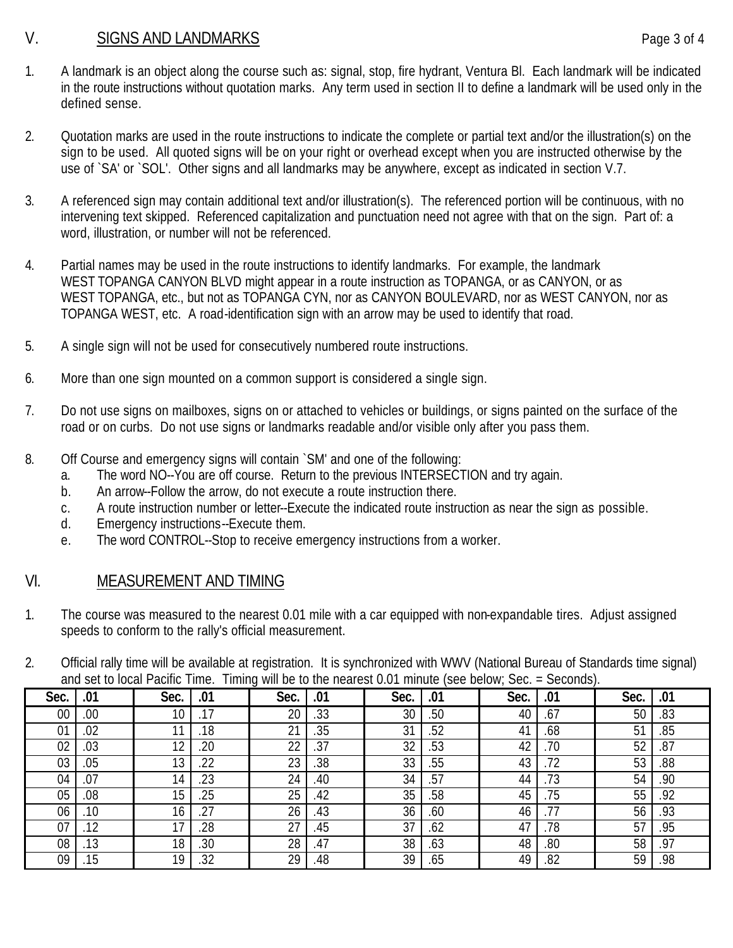### V. SIGNS AND LANDMARKS Page 3 of 4

- 1. A landmark is an object along the course such as: signal, stop, fire hydrant, Ventura Bl. Each landmark will be indicated in the route instructions without quotation marks. Any term used in section II to define a landmark will be used only in the defined sense.
- 2. Quotation marks are used in the route instructions to indicate the complete or partial text and/or the illustration(s) on the sign to be used. All quoted signs will be on your right or overhead except when you are instructed otherwise by the use of `SA' or `SOL'. Other signs and all landmarks may be anywhere, except as indicated in section V.7.
- 3. A referenced sign may contain additional text and/or illustration(s). The referenced portion will be continuous, with no intervening text skipped. Referenced capitalization and punctuation need not agree with that on the sign. Part of: a word, illustration, or number will not be referenced.
- 4. Partial names may be used in the route instructions to identify landmarks. For example, the landmark WEST TOPANGA CANYON BLVD might appear in a route instruction as TOPANGA, or as CANYON, or as WEST TOPANGA, etc., but not as TOPANGA CYN, nor as CANYON BOULEVARD, nor as WEST CANYON, nor as TOPANGA WEST, etc. A road-identification sign with an arrow may be used to identify that road.
- 5. A single sign will not be used for consecutively numbered route instructions.
- 6. More than one sign mounted on a common support is considered a single sign.
- 7. Do not use signs on mailboxes, signs on or attached to vehicles or buildings, or signs painted on the surface of the road or on curbs. Do not use signs or landmarks readable and/or visible only after you pass them.
- 8. Off Course and emergency signs will contain `SM' and one of the following:
	- a. The word NO--You are off course. Return to the previous INTERSECTION and try again.
	- b. An arrow--Follow the arrow, do not execute a route instruction there.
	- c. A route instruction number or letter--Execute the indicated route instruction as near the sign as possible.
	- d. Emergency instructions--Execute them.
	- e. The word CONTROL--Stop to receive emergency instructions from a worker.

## VI. MEASUREMENT AND TIMING

- 1. The course was measured to the nearest 0.01 mile with a car equipped with non-expandable tires. Adjust assigned speeds to conform to the rally's official measurement.
- 2. Official rally time will be available at registration. It is synchronized with WWV (National Bureau of Standards time signal) and set to local Pacific Time. Timing will be to the nearest 0.01 minute (see below; Sec. = Seconds).

| Sec.   | .01 | Sec.            | .01 | $\tilde{\phantom{a}}$<br>Sec. | .01 | Sec. | .01 | Sec. | .01 | Sec. | .01 |
|--------|-----|-----------------|-----|-------------------------------|-----|------|-----|------|-----|------|-----|
| $00\,$ | 00  | 10 <sup>°</sup> | .17 | 20                            | .33 | 30   | .50 | 40   | .67 | 50   | .83 |
| 01     | .02 | 11              | .18 | 21                            | .35 | 31   | .52 | 41   | .68 | 51   | .85 |
| 02     | .03 |                 | .20 | 22                            | .37 | 32   | .53 | 42   | .70 | 52   | .87 |
| 03     | .05 | 13              | .22 | 23                            | .38 | 33   | .55 | 43   | .72 | 53   | .88 |
| 04     | .07 | 14              | .23 | 24                            | .40 | 34   | .57 | 44   | .73 | 54   | .90 |
| 05     | .08 | 15              | .25 | 25                            | .42 | 35   | .58 | 45   | .75 | 55   | .92 |
| 06     | .10 | 16              | .27 | 26                            | .43 | 36   | .60 | 46   | .77 | 56   | .93 |
| 07     | .12 | 17              | .28 | 27                            | .45 | 37   | .62 | 47   | .78 | 57   | .95 |
| 08     | .13 | 18              | .30 | 28                            | .47 | 38   | .63 | 48   | .80 | 58   | .97 |
| 09     | .15 | 19              | .32 | 29                            | .48 | 39   | .65 | 49   | .82 | 59   | .98 |